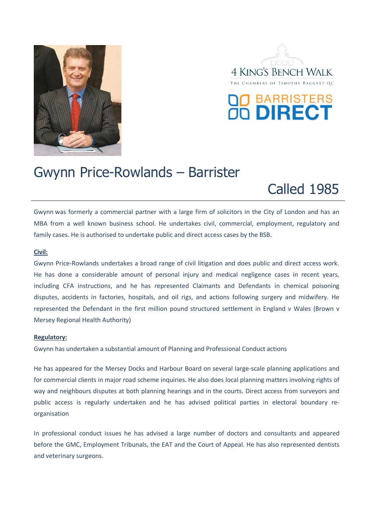





# Gwynn Price-Rowlands – Barrister

Called 1985

Gwynn was formerly a commercial partner with a large firm of solicitors in the City of London and has an MBA from a well known business school. He undertakes civil, commercial, employment, regulatory and family cases. He is authorised to undertake public and direct access cases by the BSB.

## **Civil:**

Gwynn Price-Rowlands undertakes a broad range of civil litigation and does public and direct access work. He has done a considerable amount of personal injury and medical negligence cases in recent years, including CFA instructions, and he has represented Claimants and Defendants in chemical poisoning disputes, accidents in factories, hospitals, and oil rigs, and actions following surgery and midwifery. He represented the Defendant in the first million pound structured settlement in England v Wales (Brown v Mersey Regional Health Authority)

# **Regulatory:**

Gwynn has undertaken a substantial amount of Planning and Professional Conduct actions

He has appeared for the Mersey Docks and Harbour Board on several large-scale planning applications and for commercial clients in major road scheme inquiries. He also does local planning matters involving rights of way and neighbours disputes at both planning hearings and in the courts. Direct access from surveyors and public access is regularly undertaken and he has advised political parties in electoral boundary reorganisation

In professional conduct issues he has advised a large number of doctors and consultants and appeared before the GMC, Employment Tribunals, the EAT and the Court of Appeal. He has also represented dentists and veterinary surgeons.